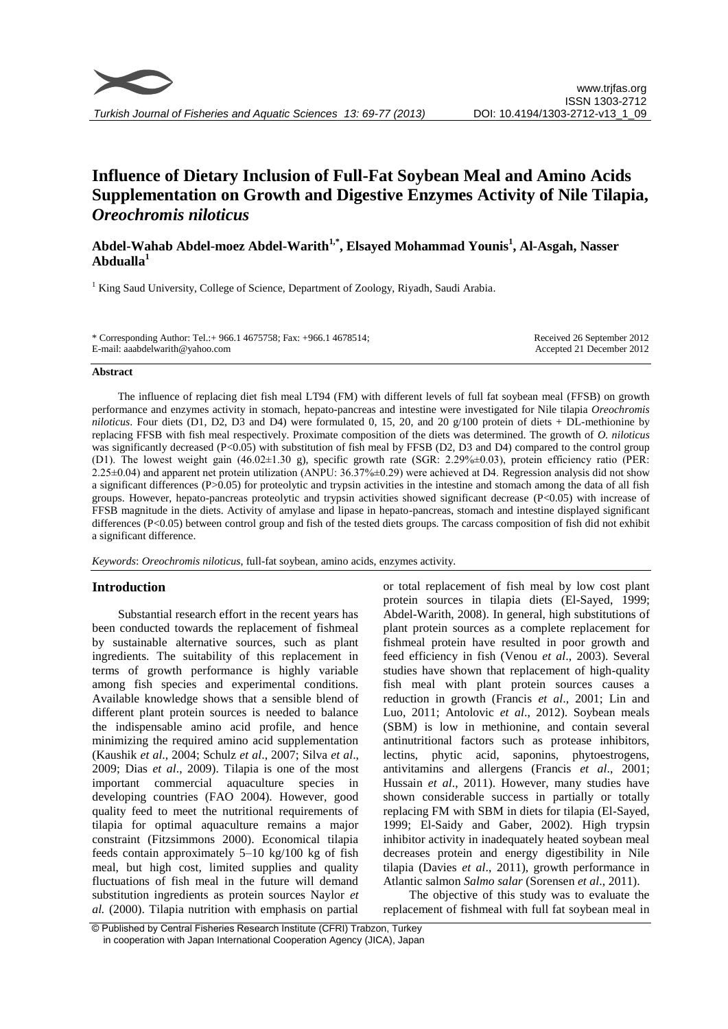

# **Influence of Dietary Inclusion of Full-Fat Soybean Meal and Amino Acids Supplementation on Growth and Digestive Enzymes Activity of Nile Tilapia,**  *Oreochromis niloticus*

# **Abdel-Wahab Abdel-moez Abdel-Warith1,\* , Elsayed Mohammad Younis<sup>1</sup> , Al-Asgah, Nasser Abdualla<sup>1</sup>**

<sup>1</sup> King Saud University, College of Science, Department of Zoology, Riyadh, Saudi Arabia.

| * Corresponding Author: Tel.: + 966.1 4675758; Fax: +966.1 4678514; | Received 26 September 2012 |
|---------------------------------------------------------------------|----------------------------|
| E-mail: aaabdelwarith@yahoo.com                                     | Accepted 21 December 2012  |

#### **Abstract**

The influence of replacing diet fish meal LT94 (FM) with different levels of full fat soybean meal (FFSB) on growth performance and enzymes activity in stomach, hepato-pancreas and intestine were investigated for Nile tilapia *Oreochromis niloticus*. Four diets (D1, D2, D3 and D4) were formulated 0, 15, 20, and 20  $g/100$  protein of diets + DL-methionine by replacing FFSB with fish meal respectively. Proximate composition of the diets was determined. The growth of *O. niloticus*  was significantly decreased (P<0.05) with substitution of fish meal by FFSB (D2, D3 and D4) compared to the control group (D1). The lowest weight gain (46.02±1.30 g), specific growth rate (SGR: 2.29%±0.03), protein efficiency ratio (PER: 2.25±0.04) and apparent net protein utilization (ANPU: 36.37%±0.29) were achieved at D4. Regression analysis did not show a significant differences (P>0.05) for proteolytic and trypsin activities in the intestine and stomach among the data of all fish groups. However, hepato-pancreas proteolytic and trypsin activities showed significant decrease (P<0.05) with increase of FFSB magnitude in the diets. Activity of amylase and lipase in hepato-pancreas, stomach and intestine displayed significant differences (P<0.05) between control group and fish of the tested diets groups. The carcass composition of fish did not exhibit a significant difference.

*Keywords*: *Oreochromis niloticus*, full-fat soybean, amino acids, enzymes activity.

# **Introduction**

Substantial research effort in the recent years has been conducted towards the replacement of fishmeal by sustainable alternative sources, such as plant ingredients. The suitability of this replacement in terms of growth performance is highly variable among fish species and experimental conditions. Available knowledge shows that a sensible blend of different plant protein sources is needed to balance the indispensable amino acid profile, and hence minimizing the required amino acid supplementation (Kaushik *et al*., 2004; Schulz *et al*., 2007; Silva *et al*., 2009; Dias *et al*., 2009). Tilapia is one of the most important commercial aquaculture species in developing countries (FAO 2004). However, good quality feed to meet the nutritional requirements of tilapia for optimal aquaculture remains a major constraint (Fitzsimmons 2000). Economical tilapia feeds contain approximately 5–10 kg/100 kg of fish meal, but high cost, limited supplies and quality fluctuations of fish meal in the future will demand substitution ingredients as protein sources Naylor *et al.* (2000). Tilapia nutrition with emphasis on partial or total replacement of fish meal by low cost plant protein sources in tilapia diets (El-Sayed, 1999; Abdel-Warith, 2008). In general, high substitutions of plant protein sources as a complete replacement for fishmeal protein have resulted in poor growth and feed efficiency in fish (Venou *et al*., 2003). Several studies have shown that replacement of high-quality fish meal with plant protein sources causes a reduction in growth (Francis *et al*., 2001; Lin and Luo, 2011; Antolovic *et al*., 2012). Soybean meals (SBM) is low in methionine, and contain several antinutritional factors such as protease inhibitors, lectins, phytic acid, saponins, phytoestrogens, antivitamins and allergens (Francis *et al*., 2001; Hussain *et al*., 2011). However, many studies have shown considerable success in partially or totally replacing FM with SBM in diets for tilapia (El-Sayed, 1999; El-Saidy and Gaber, 2002). High trypsin inhibitor activity in inadequately heated soybean meal decreases protein and energy digestibility in Nile tilapia (Davies *et al*., 2011), growth performance in Atlantic salmon *Salmo salar* (Sorensen *et al*., 2011).

The objective of this study was to evaluate the replacement of fishmeal with full fat soybean meal in

<sup>©</sup> Published by Central Fisheries Research Institute (CFRI) Trabzon, Turkey in cooperation with Japan International Cooperation Agency (JICA), Japan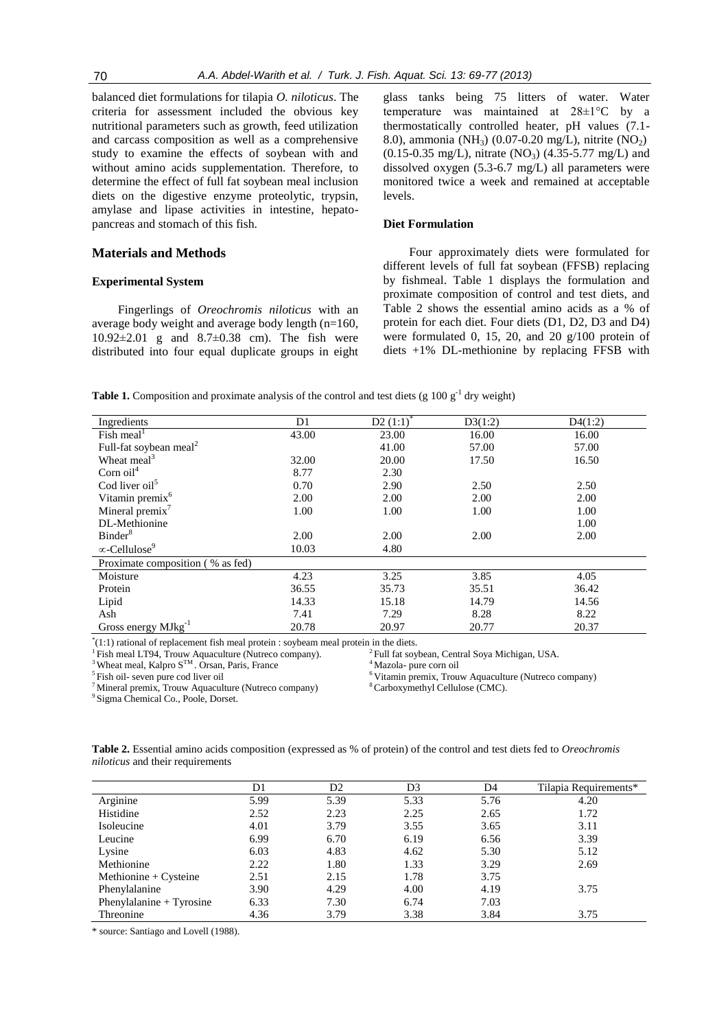balanced diet formulations for tilapia *O. niloticus*. The criteria for assessment included the obvious key nutritional parameters such as growth, feed utilization and carcass composition as well as a comprehensive study to examine the effects of soybean with and without amino acids supplementation. Therefore, to determine the effect of full fat soybean meal inclusion diets on the digestive enzyme proteolytic, trypsin, amylase and lipase activities in intestine, hepatopancreas and stomach of this fish.

#### **Materials and Methods**

## **Experimental System**

Fingerlings of *Oreochromis niloticus* with an average body weight and average body length (n=160, 10.92±2.01 g and 8.7±0.38 cm). The fish were distributed into four equal duplicate groups in eight

glass tanks being 75 litters of water. Water temperature was maintained at 28±1°C by a thermostatically controlled heater, pH values (7.1- 8.0), ammonia (NH<sub>3</sub>) (0.07-0.20 mg/L), nitrite (NO<sub>2</sub>)  $(0.15-0.35 \text{ mg/L})$ , nitrate  $(NO_3)$   $(4.35-5.77 \text{ mg/L})$  and dissolved oxygen (5.3-6.7 mg/L) all parameters were monitored twice a week and remained at acceptable levels.

# **Diet Formulation**

Four approximately diets were formulated for different levels of full fat soybean (FFSB) replacing by fishmeal. Table 1 displays the formulation and proximate composition of control and test diets, and Table 2 shows the essential amino acids as a % of protein for each diet. Four diets (D1, D2, D3 and D4) were formulated 0, 15, 20, and 20 g/100 protein of diets +1% DL-methionine by replacing FFSB with

**Table 1.** Composition and proximate analysis of the control and test diets (g  $100 \text{ g}^{-1}$  dry weight)

| Ingredients                         | D1    | D2 $(1:1)^*$ | D3(1:2) | D4(1:2) |
|-------------------------------------|-------|--------------|---------|---------|
| Fish meal <sup><math>1</math></sup> | 43.00 | 23.00        | 16.00   | 16.00   |
| Full-fat soybean meal <sup>2</sup>  |       | 41.00        | 57.00   | 57.00   |
| Wheat meal <sup>3</sup>             | 32.00 | 20.00        | 17.50   | 16.50   |
| Corn $oil4$                         | 8.77  | 2.30         |         |         |
| Cod liver oil <sup>5</sup>          | 0.70  | 2.90         | 2.50    | 2.50    |
| Vitamin premix <sup>6</sup>         | 2.00  | 2.00         | 2.00    | 2.00    |
| Mineral premix $^7$                 | 1.00  | 1.00         | 1.00    | 1.00    |
| DL-Methionine                       |       |              |         | 1.00    |
| Binder <sup>8</sup>                 | 2.00  | 2.00         | 2.00    | 2.00    |
| $\infty$ -Cellulose <sup>9</sup>    | 10.03 | 4.80         |         |         |
| Proximate composition (% as fed)    |       |              |         |         |
| Moisture                            | 4.23  | 3.25         | 3.85    | 4.05    |
| Protein                             | 36.55 | 35.73        | 35.51   | 36.42   |
| Lipid                               | 14.33 | 15.18        | 14.79   | 14.56   |
| Ash                                 | 7.41  | 7.29         | 8.28    | 8.22    |
| Gross energy MJkg <sup>-1</sup>     | 20.78 | 20.97        | 20.77   | 20.37   |

\* (1:1) rational of replacement fish meal protein : soybeam meal protein in the diets.

<sup>1</sup> Fish meal LT94, Trouw Aquaculture (Nutreco company).

<sup>3</sup> Wheat meal, Kalpro  $S^{TM}$ . Orsan, Paris, France  $4^{4}$ Mazola- pure corn oil

<sup>5</sup>Fish oil- seven pure cod liver oil

 $7$ Mineral premix, Trouw Aquaculture (Nutreco company)

<sup>2</sup> Full fat soybean, Central Soya Michigan, USA.

 $6$  Vitamin premix, Trouw Aquaculture (Nutreco company)  $8$  Carboxymethyl Cellulose (CMC).

<sup>9</sup> Sigma Chemical Co., Poole, Dorset.

**Table 2.** Essential amino acids composition (expressed as % of protein) of the control and test diets fed to *Oreochromis niloticus* and their requirements

|                          | D1   | D2   | D3   | D4   | Tilapia Requirements* |
|--------------------------|------|------|------|------|-----------------------|
| Arginine                 | 5.99 | 5.39 | 5.33 | 5.76 | 4.20                  |
| Histidine                | 2.52 | 2.23 | 2.25 | 2.65 | 1.72                  |
| Isoleucine               | 4.01 | 3.79 | 3.55 | 3.65 | 3.11                  |
| Leucine                  | 6.99 | 6.70 | 6.19 | 6.56 | 3.39                  |
| Lysine                   | 6.03 | 4.83 | 4.62 | 5.30 | 5.12                  |
| Methionine               | 2.22 | 1.80 | 1.33 | 3.29 | 2.69                  |
| Methionine + $C$ ysteine | 2.51 | 2.15 | 1.78 | 3.75 |                       |
| Phenylalanine            | 3.90 | 4.29 | 4.00 | 4.19 | 3.75                  |
| Phenylalanine + Tyrosine | 6.33 | 7.30 | 6.74 | 7.03 |                       |
| Threonine                | 4.36 | 3.79 | 3.38 | 3.84 | 3.75                  |

\* source: Santiago and Lovell (1988).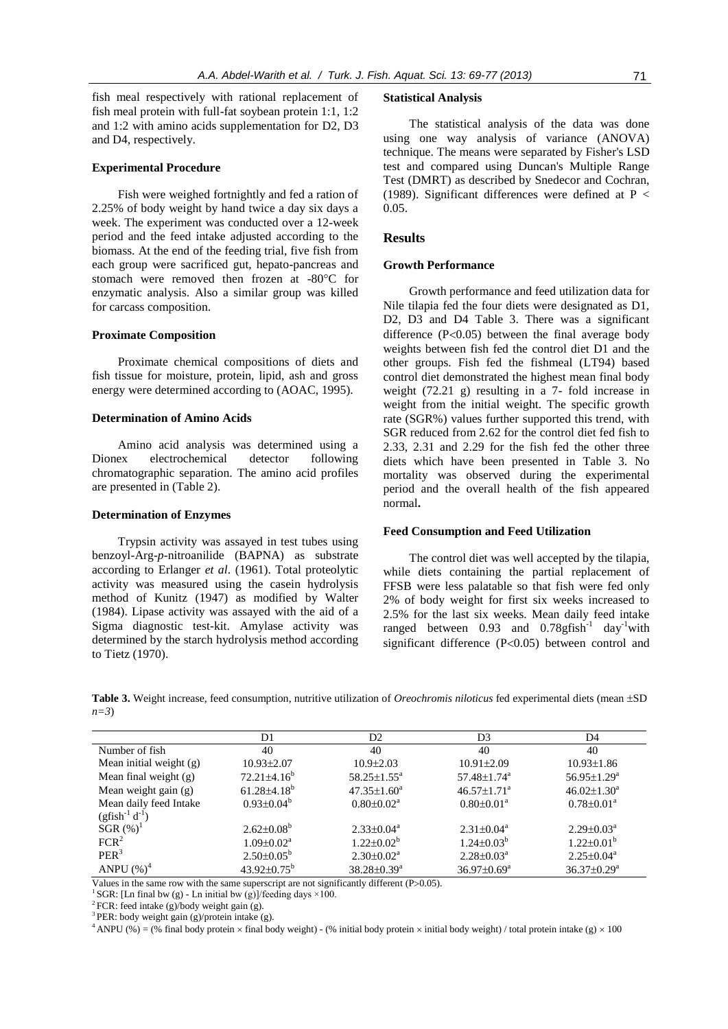fish meal respectively with rational replacement of fish meal protein with full-fat soybean protein 1:1, 1:2 and 1:2 with amino acids supplementation for D2, D3 and D4, respectively.

## **Experimental Procedure**

Fish were weighed fortnightly and fed a ration of 2.25% of body weight by hand twice a day six days a week. The experiment was conducted over a 12-week period and the feed intake adjusted according to the biomass. At the end of the feeding trial, five fish from each group were sacrificed gut, hepato-pancreas and stomach were removed then frozen at -80°C for enzymatic analysis. Also a similar group was killed for carcass composition.

#### **Proximate Composition**

Proximate chemical compositions of diets and fish tissue for moisture, protein, lipid, ash and gross energy were determined according to (AOAC, 1995).

#### **Determination of Amino Acids**

Amino acid analysis was determined using a Dionex electrochemical detector following chromatographic separation. The amino acid profiles are presented in (Table 2).

#### **Determination of Enzymes**

Trypsin activity was assayed in test tubes using benzoyl-Arg-*p-*nitroanilide (BAPNA) as substrate according to Erlanger *et al*. (1961). Total proteolytic activity was measured using the casein hydrolysis method of Kunitz (1947) as modified by Walter (1984). Lipase activity was assayed with the aid of a Sigma diagnostic test-kit. Amylase activity was determined by the starch hydrolysis method according to Tietz (1970).

#### **Statistical Analysis**

The statistical analysis of the data was done using one way analysis of variance (ANOVA) technique. The means were separated by Fisher's LSD test and compared using Duncan's Multiple Range Test (DMRT) as described by Snedecor and Cochran, (1989). Significant differences were defined at  $P <$ 0.05.

#### **Results**

#### **Growth Performance**

Growth performance and feed utilization data for Nile tilapia fed the four diets were designated as D1, D2, D3 and D4 Table 3. There was a significant difference  $(P<0.05)$  between the final average body weights between fish fed the control diet D1 and the other groups. Fish fed the fishmeal (LT94) based control diet demonstrated the highest mean final body weight (72.21 g) resulting in a 7- fold increase in weight from the initial weight. The specific growth rate (SGR%) values further supported this trend, with SGR reduced from 2.62 for the control diet fed fish to 2.33, 2.31 and 2.29 for the fish fed the other three diets which have been presented in Table 3. No mortality was observed during the experimental period and the overall health of the fish appeared normal**.** 

#### **Feed Consumption and Feed Utilization**

The control diet was well accepted by the tilapia, while diets containing the partial replacement of FFSB were less palatable so that fish were fed only 2% of body weight for first six weeks increased to 2.5% for the last six weeks. Mean daily feed intake ranged between 0.93 and  $0.78$ gfish<sup>-1</sup> day<sup>-1</sup>with significant difference  $(P<0.05)$  between control and

**Table 3.** Weight increase, feed consumption, nutritive utilization of *Oreochromis niloticus* fed experimental diets (mean  $\pm$ SD *n=3*)

|                         | D1                         | D <sub>2</sub>             | D3                            | D4                            |
|-------------------------|----------------------------|----------------------------|-------------------------------|-------------------------------|
| Number of fish          | 40                         | 40                         | 40                            | 40                            |
| Mean initial weight (g) | $10.93 \pm 2.07$           | $10.9 \pm 2.03$            | $10.91 \pm 2.09$              | $10.93 \pm 1.86$              |
| Mean final weight (g)   | $72.21 \pm 4.16^b$         | $58.25 \pm 1.55^{\circ}$   | $57.48 \pm 1.74$ <sup>a</sup> | $56.95 \pm 1.29^{\mathrm{a}}$ |
| Mean weight gain (g)    | $61.28\pm4.18^{b}$         | $47.35 \pm 1.60^a$         | $46.57 \pm 1.71$ <sup>a</sup> | $46.02 \pm 1.30^a$            |
| Mean daily feed Intake  | $0.93 \pm 0.04^b$          | $0.80 \pm 0.02^{\text{a}}$ | $0.80 \pm 0.01^{\text{a}}$    | $0.78 \pm 0.01^{\text{a}}$    |
| $(gfish^{-1} d^{-1})$   |                            |                            |                               |                               |
| $SGR (\%)^1$            | $2.62 \pm 0.08^b$          | $2.33 \pm 0.04^a$          | $2.31 \pm 0.04^a$             | $2.29 \pm 0.03^{\text{a}}$    |
| FCR <sup>2</sup>        | $1.09 \pm 0.02^{\text{a}}$ | $1.22 \pm 0.02^b$          | $1.24 \pm 0.03^b$             | $1.22 \pm 0.01^{\circ}$       |
| PER <sup>3</sup>        | $2.50\pm0.05^{\rm b}$      | $2.30 \pm 0.02^a$          | $2.28 \pm 0.03^{\text{a}}$    | $2.25 \pm 0.04^a$             |
| ANPU $(%)^4$            | $43.92\pm0.75^{\rm b}$     | $38.28 \pm 0.39^a$         | $36.97 \pm 0.69^{\mathrm{a}}$ | $36.37 \pm 0.29^{\mathrm{a}}$ |

Values in the same row with the same superscript are not significantly different (P>0.05).

<sup>1</sup> SGR: [Ln final bw (g) - Ln initial bw (g)]/feeding days  $\times$ 100.

<sup>2</sup> FCR: feed intake (g)/body weight gain (g).

3 PER: body weight gain (g)/protein intake (g).

<sup>4</sup> ANPU (%) = (% final body protein  $\times$  final body weight) - (% initial body protein  $\times$  initial body weight) / total protein intake (g)  $\times$  100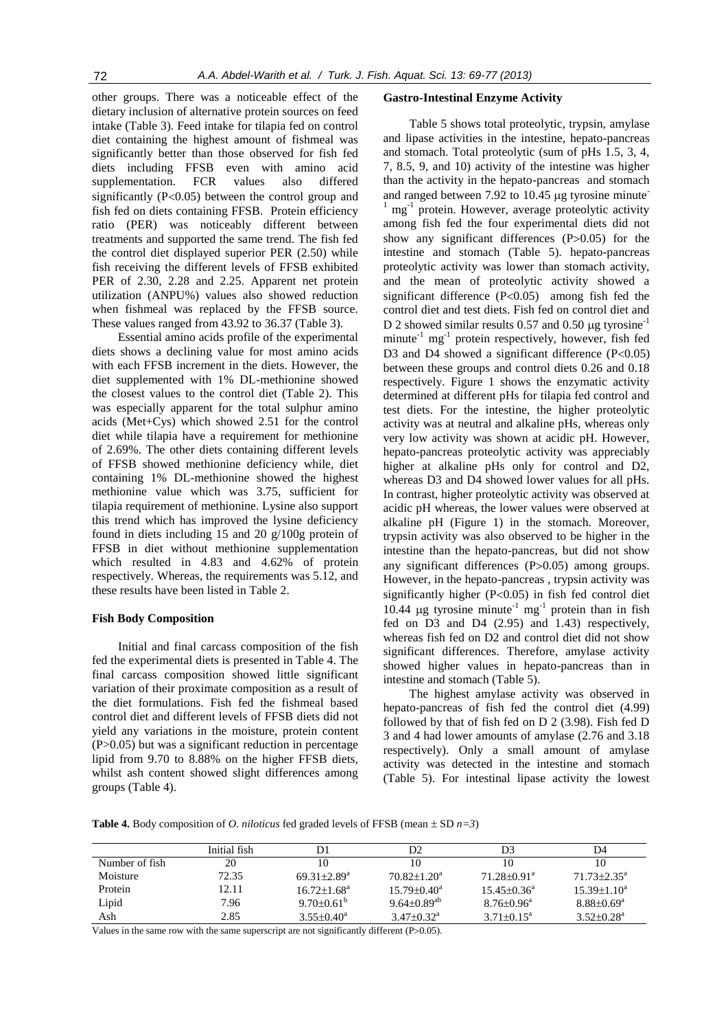other groups. There was a noticeable effect of the dietary inclusion of alternative protein sources on feed intake (Table 3). Feed intake for tilapia fed on control diet containing the highest amount of fishmeal was significantly better than those observed for fish fed diets including FFSB even with amino acid supplementation. FCR values also differed significantly  $(P<0.05)$  between the control group and fish fed on diets containing FFSB. Protein efficiency ratio (PER) was noticeably different between treatments and supported the same trend. The fish fed the control diet displayed superior PER (2.50) while fish receiving the different levels of FFSB exhibited PER of 2.30, 2.28 and 2.25. Apparent net protein utilization (ANPU%) values also showed reduction when fishmeal was replaced by the FFSB source. These values ranged from 43.92 to 36.37 (Table 3).

Essential amino acids profile of the experimental diets shows a declining value for most amino acids with each FFSB increment in the diets. However, the diet supplemented with 1% DL-methionine showed the closest values to the control diet (Table 2). This was especially apparent for the total sulphur amino acids (Met+Cys) which showed 2.51 for the control diet while tilapia have a requirement for methionine of 2.69%. The other diets containing different levels of FFSB showed methionine deficiency while, diet containing 1% DL-methionine showed the highest methionine value which was 3.75, sufficient for tilapia requirement of methionine. Lysine also support this trend which has improved the lysine deficiency found in diets including 15 and 20 g/100g protein of FFSB in diet without methionine supplementation which resulted in 4.83 and 4.62% of protein respectively. Whereas, the requirements was 5.12, and these results have been listed in Table 2.

#### **Fish Body Composition**

Initial and final carcass composition of the fish fed the experimental diets is presented in Table 4. The final carcass composition showed little significant variation of their proximate composition as a result of the diet formulations. Fish fed the fishmeal based control diet and different levels of FFSB diets did not yield any variations in the moisture, protein content (P>0.05) but was a significant reduction in percentage lipid from 9.70 to 8.88% on the higher FFSB diets, whilst ash content showed slight differences among groups (Table 4).

#### **Gastro-Intestinal Enzyme Activity**

Table 5 shows total proteolytic, trypsin, amylase and lipase activities in the intestine, hepato-pancreas and stomach. Total proteolytic (sum of pHs 1.5, 3, 4, 7, 8.5, 9, and 10) activity of the intestine was higher than the activity in the hepato-pancreas and stomach and ranged between  $7.92$  to  $10.45$  µg tyrosine minute <sup>1</sup> mg<sup>-1</sup> protein. However, average proteolytic activity among fish fed the four experimental diets did not show any significant differences  $(P>0.05)$  for the intestine and stomach (Table 5). hepato-pancreas proteolytic activity was lower than stomach activity, and the mean of proteolytic activity showed a significant difference  $(P<0.05)$  among fish fed the control diet and test diets. Fish fed on control diet and D 2 showed similar results 0.57 and 0.50  $\mu$ g tyrosine<sup>-1</sup> minute<sup>-1</sup> mg<sup>-1</sup> protein respectively, however, fish fed D3 and D4 showed a significant difference  $(P<0.05)$ between these groups and control diets 0.26 and 0.18 respectively. Figure 1 shows the enzymatic activity determined at different pHs for tilapia fed control and test diets. For the intestine, the higher proteolytic activity was at neutral and alkaline pHs, whereas only very low activity was shown at acidic pH. However, hepato-pancreas proteolytic activity was appreciably higher at alkaline pHs only for control and D2, whereas D3 and D4 showed lower values for all pHs. In contrast, higher proteolytic activity was observed at acidic pH whereas, the lower values were observed at alkaline pH (Figure 1) in the stomach. Moreover, trypsin activity was also observed to be higher in the intestine than the hepato-pancreas, but did not show any significant differences  $(P>0.05)$  among groups. However, in the hepato-pancreas , trypsin activity was significantly higher  $(P<0.05)$  in fish fed control diet 10.44 µg tyrosine minute<sup>-1</sup> mg<sup>-1</sup> protein than in fish fed on D3 and D4 (2.95) and 1.43) respectively, whereas fish fed on D2 and control diet did not show significant differences. Therefore, amylase activity showed higher values in hepato-pancreas than in intestine and stomach (Table 5).

The highest amylase activity was observed in hepato-pancreas of fish fed the control diet (4.99) followed by that of fish fed on D 2 (3.98). Fish fed D 3 and 4 had lower amounts of amylase (2.76 and 3.18 respectively). Only a small amount of amylase activity was detected in the intestine and stomach (Table 5). For intestinal lipase activity the lowest

**Table 4.** Body composition of *O. niloticus* fed graded levels of FFSB (mean  $\pm$  SD  $n=3$ )

|                | Initial fish |                               | D2                           | D3                            | D4                           |
|----------------|--------------|-------------------------------|------------------------------|-------------------------------|------------------------------|
| Number of fish | 20           | 10                            | 10                           | 10                            | 10                           |
| Moisture       | 72.35        | $69.31 \pm 2.89$ <sup>a</sup> | $70.82 \pm 1.20^a$           | $71.28 \pm 0.91$ <sup>a</sup> | $71.73 \pm 2.35^{\text{a}}$  |
| Protein        | 12.11        | $16.72 \pm 1.68^a$            | $15.79 \pm 0.40^a$           | $15.45 \pm 0.36^a$            | $15.39 \pm 1.10^a$           |
| Lipid          | 7.96         | $9.70\pm0.61^{\circ}$         | $9.64{\pm}0.89^{\text{ab}}$  | $8.76 \pm 0.96^a$             | $8.88 \pm 0.69^a$            |
| Ash            | 2.85         | $3.55 \pm 0.40^a$             | $3.47 \pm 0.32$ <sup>a</sup> | $3.71 \pm 0.15^a$             | $3.52 \pm 0.28$ <sup>a</sup> |

Values in the same row with the same superscript are not significantly different  $(P>0.05)$ .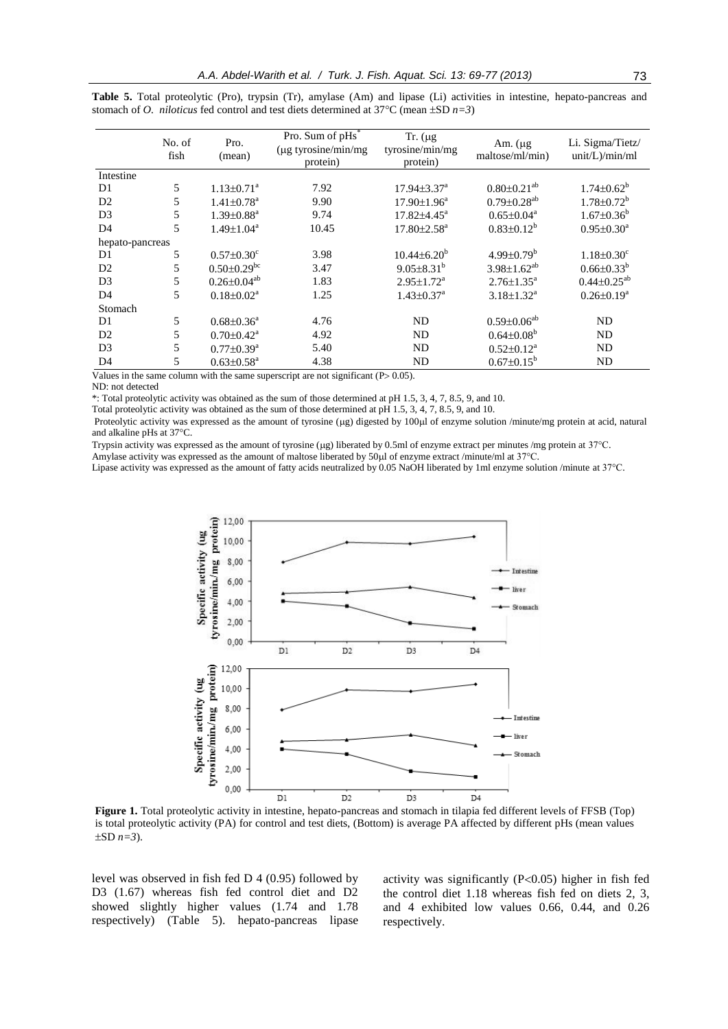|                 | No. of<br>fish | Pro.<br>(mean)                | Pro. Sum of pHs <sup>*</sup><br>$(\mu g$ tyrosine/min/mg<br>protein) | Tr. $(\mu g)$<br>tyrosine/min/mg<br>protein) | Am. $(\mu g)$<br>maltose/ml/min) | Li. Sigma/Tietz/<br>unit/L)/min/ml |
|-----------------|----------------|-------------------------------|----------------------------------------------------------------------|----------------------------------------------|----------------------------------|------------------------------------|
| Intestine       |                |                               |                                                                      |                                              |                                  |                                    |
| D1              | 5              | $1.13 \pm 0.71$ <sup>a</sup>  | 7.92                                                                 | $17.94 \pm 3.37^{\text{a}}$                  | $0.80 \pm 0.21$ <sup>ab</sup>    | $1.74 \pm 0.62^b$                  |
| D2              | 5              | $1.41 \pm 0.78$ <sup>a</sup>  | 9.90                                                                 | $17.90 \pm 1.96^a$                           | $0.79 \pm 0.28$ <sup>ab</sup>    | $1.78 \pm 0.72^b$                  |
| D <sub>3</sub>  | 5              | $1.39 \pm 0.88$ <sup>a</sup>  | 9.74                                                                 | $17.82{\pm}4.45^a$                           | $0.65 \pm 0.04^a$                | $1.67 \pm 0.36^b$                  |
| D <sub>4</sub>  | 5              | $1.49 \pm 1.04^a$             | 10.45                                                                | $17.80 \pm 2.58$ <sup>a</sup>                | $0.83 \pm 0.12^b$                | $0.95 \pm 0.30^a$                  |
| hepato-pancreas |                |                               |                                                                      |                                              |                                  |                                    |
| D1              | 5              | $0.57 \pm 0.30$ <sup>c</sup>  | 3.98                                                                 | $10.44\pm6.20^b$                             | $4.99 \pm 0.79^b$                | $1.18 \pm 0.30$ <sup>c</sup>       |
| D <sub>2</sub>  | 5              | $0.50 \pm 0.29$ <sup>bc</sup> | 3.47                                                                 | $9.05 \pm 8.31^b$                            | $3.98 \pm 1.62^{ab}$             | $0.66 \pm 0.33^{b}$                |
| D <sub>3</sub>  | 5              | $0.26 \pm 0.04^{ab}$          | 1.83                                                                 | $2.95 \pm 1.72^a$                            | $2.76 \pm 1.35^a$                | $0.44 \pm 0.25^{ab}$               |
| D <sub>4</sub>  | 5              | $0.18 \pm 0.02^a$             | 1.25                                                                 | $1.43 \pm 0.37$ <sup>a</sup>                 | $3.18 \pm 1.32^a$                | $0.26 \pm 0.19^a$                  |
| Stomach         |                |                               |                                                                      |                                              |                                  |                                    |
| D1              | 5              | $0.68 \pm 0.36^a$             | 4.76                                                                 | ND                                           | $0.59 \pm 0.06^{ab}$             | ND                                 |
| D2              | 5              | $0.70 \pm 0.42^{\text{a}}$    | 4.92                                                                 | ND                                           | $0.64 \pm 0.08^b$                | ND                                 |
| D <sub>3</sub>  | 5              | $0.77 \pm 0.39^{\text{a}}$    | 5.40                                                                 | ND                                           | $0.52 \pm 0.12^a$                | ND.                                |
| D <sub>4</sub>  | 5              | $0.63 \pm 0.58$ <sup>a</sup>  | 4.38                                                                 | <b>ND</b>                                    | $0.67 \pm 0.15^b$                | ND                                 |

**Table 5.** Total proteolytic (Pro), trypsin (Tr), amylase (Am) and lipase (Li) activities in intestine, hepato-pancreas and stomach of *O. niloticus* fed control and test diets determined at 37°C (mean  $\pm$ SD *n*=3)

Values in the same column with the same superscript are not significant ( $P > 0.05$ ).

ND: not detected

\*: Total proteolytic activity was obtained as the sum of those determined at pH 1.5, 3, 4, 7, 8.5, 9, and 10.

Total proteolytic activity was obtained as the sum of those determined at pH  $1.5$ ,  $3$ ,  $4$ ,  $7$ ,  $8.5$ ,  $9$ , and  $10$ .

Proteolytic activity was expressed as the amount of tyrosine (µg) digested by 100µl of enzyme solution /minute/mg protein at acid, natural and alkaline pHs at 37°C.

Trypsin activity was expressed as the amount of tyrosine (µg) liberated by 0.5ml of enzyme extract per minutes /mg protein at 37°C.

Amylase activity was expressed as the amount of maltose liberated by 50ul of enzyme extract /minute/ml at 37°C.

Lipase activity was expressed as the amount of fatty acids neutralized by 0.05 NaOH liberated by 1ml enzyme solution /minute at 37°C.



**Figure 1.** Total proteolytic activity in intestine, hepato-pancreas and stomach in tilapia fed different levels of FFSB (Top) is total proteolytic activity (PA) for control and test diets, (Bottom) is average PA affected by different pHs (mean values  $\pm$ SD  $n=3$ ).

level was observed in fish fed D 4 (0.95) followed by D3 (1.67) whereas fish fed control diet and D2 showed slightly higher values (1.74 and 1.78 respectively) (Table 5). hepato-pancreas lipase

activity was significantly  $(P<0.05)$  higher in fish fed the control diet 1.18 whereas fish fed on diets 2, 3, and 4 exhibited low values 0.66, 0.44, and 0.26 respectively.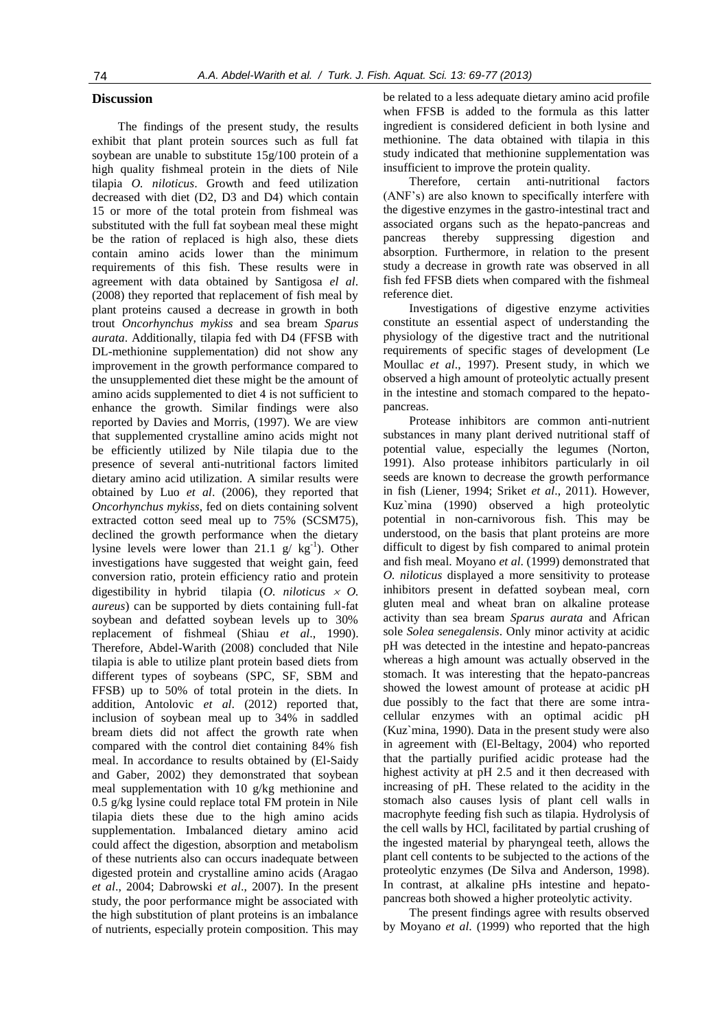## **Discussion**

The findings of the present study, the results exhibit that plant protein sources such as full fat soybean are unable to substitute 15g/100 protein of a high quality fishmeal protein in the diets of Nile tilapia *O. niloticus*. Growth and feed utilization decreased with diet (D2, D3 and D4) which contain 15 or more of the total protein from fishmeal was substituted with the full fat soybean meal these might be the ration of replaced is high also, these diets contain amino acids lower than the minimum requirements of this fish. These results were in agreement with data obtained by Santigosa *el al*. (2008) they reported that replacement of fish meal by plant proteins caused a decrease in growth in both trout *Oncorhynchus mykiss* and sea bream *Sparus aurata*. Additionally, tilapia fed with D4 (FFSB with DL-methionine supplementation) did not show any improvement in the growth performance compared to the unsupplemented diet these might be the amount of amino acids supplemented to diet 4 is not sufficient to enhance the growth. Similar findings were also reported by Davies and Morris, (1997). We are view that supplemented crystalline amino acids might not be efficiently utilized by Nile tilapia due to the presence of several anti-nutritional factors limited dietary amino acid utilization. A similar results were obtained by Luo *et al*. (2006), they reported that *Oncorhynchus mykiss*, fed on diets containing solvent extracted cotton seed meal up to 75% (SCSM75), declined the growth performance when the dietary lysine levels were lower than 21.1  $g / kg^{-1}$ ). Other investigations have suggested that weight gain, feed conversion ratio, protein efficiency ratio and protein digestibility in hybrid tilapia (*O. niloticus O. aureus*) can be supported by diets containing full-fat soybean and defatted soybean levels up to 30% replacement of fishmeal (Shiau *et al*., 1990). Therefore, Abdel-Warith (2008) concluded that Nile tilapia is able to utilize plant protein based diets from different types of soybeans (SPC, SF, SBM and FFSB) up to 50% of total protein in the diets. In addition, Antolovic *et al*. (2012) reported that, inclusion of soybean meal up to 34% in saddled bream diets did not affect the growth rate when compared with the control diet containing 84% fish meal. In accordance to results obtained by (El-Saidy and Gaber, 2002) they demonstrated that soybean meal supplementation with 10 g/kg methionine and 0.5 g/kg lysine could replace total FM protein in Nile tilapia diets these due to the high amino acids supplementation. Imbalanced dietary amino acid could affect the digestion, absorption and metabolism of these nutrients also can occurs inadequate between digested protein and crystalline amino acids (Aragao *et al*., 2004; Dabrowski *et al*., 2007). In the present study, the poor performance might be associated with the high substitution of plant proteins is an imbalance of nutrients, especially protein composition. This may

be related to a less adequate dietary amino acid profile when FFSB is added to the formula as this latter ingredient is considered deficient in both lysine and methionine. The data obtained with tilapia in this study indicated that methionine supplementation was insufficient to improve the protein quality.

Therefore, certain anti-nutritional factors (ANF's) are also known to specifically interfere with the digestive enzymes in the gastro-intestinal tract and associated organs such as the hepato-pancreas and pancreas thereby suppressing digestion and absorption. Furthermore, in relation to the present study a decrease in growth rate was observed in all fish fed FFSB diets when compared with the fishmeal reference diet.

Investigations of digestive enzyme activities constitute an essential aspect of understanding the physiology of the digestive tract and the nutritional requirements of specific stages of development (Le Moullac *et al*., 1997). Present study, in which we observed a high amount of proteolytic actually present in the intestine and stomach compared to the hepatopancreas.

Protease inhibitors are common anti-nutrient substances in many plant derived nutritional staff of potential value, especially the legumes (Norton, 1991). Also protease inhibitors particularly in oil seeds are known to decrease the growth performance in fish (Liener, 1994; Sriket *et al*., 2011). However, Kuz`mina (1990) observed a high proteolytic potential in non-carnivorous fish. This may be understood, on the basis that plant proteins are more difficult to digest by fish compared to animal protein and fish meal. Moyano *et al*. (1999) demonstrated that *O. niloticus* displayed a more sensitivity to protease inhibitors present in defatted soybean meal, corn gluten meal and wheat bran on alkaline protease activity than sea bream *Sparus aurata* and African sole *Solea senegalensis*. Only minor activity at acidic pH was detected in the intestine and hepato-pancreas whereas a high amount was actually observed in the stomach. It was interesting that the hepato-pancreas showed the lowest amount of protease at acidic pH due possibly to the fact that there are some intracellular enzymes with an optimal acidic pH (Kuz`mina, 1990). Data in the present study were also in agreement with (El-Beltagy, 2004) who reported that the partially purified acidic protease had the highest activity at pH 2.5 and it then decreased with increasing of pH. These related to the acidity in the stomach also causes lysis of plant cell walls in macrophyte feeding fish such as tilapia. Hydrolysis of the cell walls by HCl, facilitated by partial crushing of the ingested material by pharyngeal teeth, allows the plant cell contents to be subjected to the actions of the proteolytic enzymes (De Silva and Anderson, 1998). In contrast, at alkaline pHs intestine and hepatopancreas both showed a higher proteolytic activity.

The present findings agree with results observed by Moyano *et al*. (1999) who reported that the high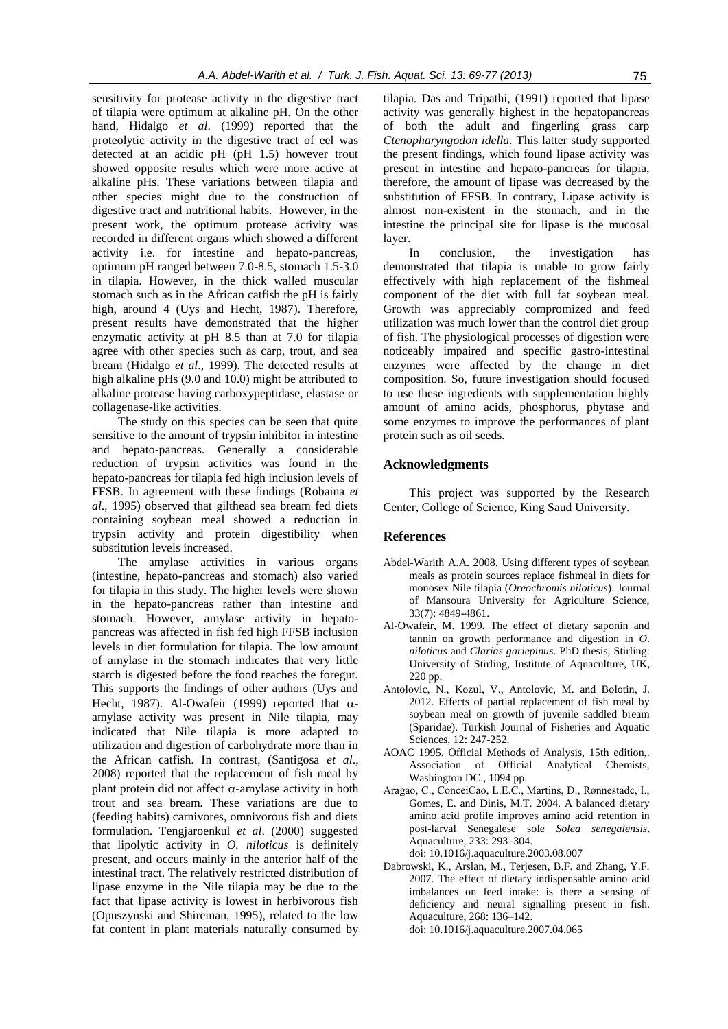sensitivity for protease activity in the digestive tract of tilapia were optimum at alkaline pH. On the other hand, Hidalgo *et al*. (1999) reported that the proteolytic activity in the digestive tract of eel was detected at an acidic pH (pH 1.5) however trout showed opposite results which were more active at alkaline pHs. These variations between tilapia and other species might due to the construction of digestive tract and nutritional habits. However, in the present work, the optimum protease activity was recorded in different organs which showed a different activity i.e. for intestine and hepato-pancreas, optimum pH ranged between 7.0-8.5, stomach 1.5-3.0 in tilapia. However, in the thick walled muscular stomach such as in the African catfish the pH is fairly high, around 4 (Uys and Hecht, 1987). Therefore, present results have demonstrated that the higher enzymatic activity at pH 8.5 than at 7.0 for tilapia agree with other species such as carp, trout, and sea bream (Hidalgo *et al*., 1999). The detected results at high alkaline pHs (9.0 and 10.0) might be attributed to alkaline protease having carboxypeptidase, elastase or collagenase-like activities.

The study on this species can be seen that quite sensitive to the amount of trypsin inhibitor in intestine and hepato-pancreas. Generally a considerable reduction of trypsin activities was found in the hepato-pancreas for tilapia fed high inclusion levels of FFSB. In agreement with these findings (Robaina *et al*., 1995) observed that gilthead sea bream fed diets containing soybean meal showed a reduction in trypsin activity and protein digestibility when substitution levels increased.

The amylase activities in various organs (intestine, hepato-pancreas and stomach) also varied for tilapia in this study. The higher levels were shown in the hepato-pancreas rather than intestine and stomach. However, amylase activity in hepatopancreas was affected in fish fed high FFSB inclusion levels in diet formulation for tilapia. The low amount of amylase in the stomach indicates that very little starch is digested before the food reaches the foregut. This supports the findings of other authors (Uys and Hecht, 1987). Al-Owafeir (1999) reported that  $\alpha$ amylase activity was present in Nile tilapia, may indicated that Nile tilapia is more adapted to utilization and digestion of carbohydrate more than in the African catfish. In contrast, (Santigosa *et al*., 2008) reported that the replacement of fish meal by plant protein did not affect  $\alpha$ -amylase activity in both trout and sea bream. These variations are due to (feeding habits) carnivores, omnivorous fish and diets formulation. Tengjaroenkul *et al*. (2000) suggested that lipolytic activity in *O. niloticus* is definitely present, and occurs mainly in the anterior half of the intestinal tract. The relatively restricted distribution of lipase enzyme in the Nile tilapia may be due to the fact that lipase activity is lowest in herbivorous fish (Opuszynski and Shireman, 1995), related to the low fat content in plant materials naturally consumed by tilapia. Das and Tripathi, (1991) reported that lipase activity was generally highest in the hepatopancreas of both the adult and fingerling grass carp *Ctenopharyngodon idella.* This latter study supported the present findings, which found lipase activity was present in intestine and hepato-pancreas for tilapia, therefore, the amount of lipase was decreased by the substitution of FFSB. In contrary, Lipase activity is almost non-existent in the stomach, and in the intestine the principal site for lipase is the mucosal layer.

In conclusion, the investigation has demonstrated that tilapia is unable to grow fairly effectively with high replacement of the fishmeal component of the diet with full fat soybean meal. Growth was appreciably compromized and feed utilization was much lower than the control diet group of fish. The physiological processes of digestion were noticeably impaired and specific gastro-intestinal enzymes were affected by the change in diet composition. So, future investigation should focused to use these ingredients with supplementation highly amount of amino acids, phosphorus, phytase and some enzymes to improve the performances of plant protein such as oil seeds.

# **Acknowledgments**

This project was supported by the Research Center, College of Science, King Saud University.

# **References**

- Abdel-Warith A.A. 2008. Using different types of soybean meals as protein sources replace fishmeal in diets for monosex Nile tilapia (*Oreochromis niloticus*). Journal of Mansoura University for Agriculture Science, 33(7): 4849-4861.
- Al-Owafeir, M. 1999. The effect of dietary saponin and tannin on growth performance and digestion in *O. niloticus* and *Clarias gariepinus*. PhD thesis, Stirling: University of Stirling, Institute of Aquaculture, UK, 220 pp.
- Antolovic, N., Kozul, V., Antolovic, M. and Bolotin, J. 2012. Effects of partial replacement of fish meal by soybean meal on growth of juvenile saddled bream (Sparidae). Turkish Journal of Fisheries and Aquatic Sciences, 12: 247-252.
- AOAC 1995. Official Methods of Analysis, 15th edition,. Association of Official Analytical Chemists, Washington DC., 1094 pp.
- Aragao, C., ConceiCao, L.E.C., Martins, D., Rønnestadc, I., Gomes, E. and Dinis, M.T. 2004. A balanced dietary amino acid profile improves amino acid retention in post-larval Senegalese sole *Solea senegalensis*. Aquaculture, 233: 293–304.

doi: 10.1016/j.aquaculture.2003.08.007

Dabrowski, K., Arslan, M., Terjesen, B.F. and Zhang, Y.F. 2007. The effect of dietary indispensable amino acid imbalances on feed intake: is there a sensing of deficiency and neural signalling present in fish. Aquaculture, 268: 136–142. doi: 10.1016/j.aquaculture.2007.04.065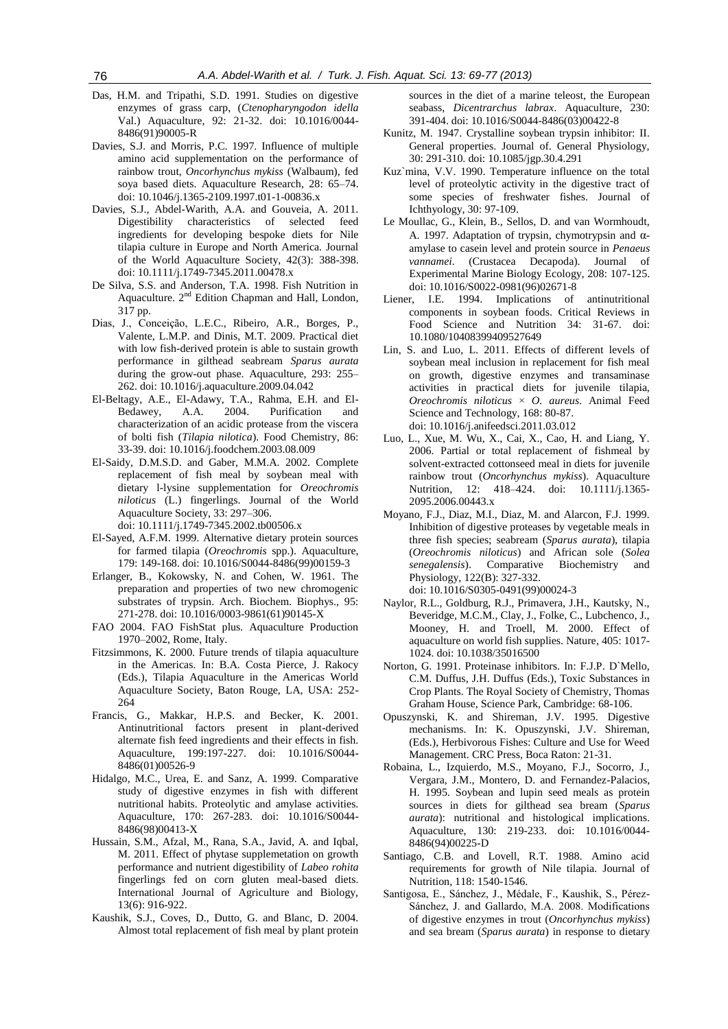- Das, H.M. and Tripathi, S.D. 1991. Studies on digestive enzymes of grass carp, (*Ctenopharyngodon idella* Val.) Aquaculture, 92: 21-32. doi: 10.1016/0044- 8486(91)90005-R
- Davies, S.J. and Morris, P.C. 1997. Influence of multiple amino acid supplementation on the performance of rainbow trout, *Oncorhynchus mykiss* (Walbaum), fed soya based diets. Aquaculture Research, 28: 65–74. doi: 10.1046/j.1365-2109.1997.t01-1-00836.x
- Davies, S.J., Abdel-Warith, A.A. and Gouveia, A. 2011. Digestibility characteristics of selected feed ingredients for developing bespoke diets for Nile tilapia culture in Europe and North America. Journal of the World Aquaculture Society, 42(3): 388-398. doi: 10.1111/j.1749-7345.2011.00478.x
- De Silva, S.S. and Anderson, T.A. 1998. Fish Nutrition in Aquaculture. 2nd Edition Chapman and Hall, London, 317 pp.
- Dias, J., Conceição, L.E.C., Ribeiro, A.R., Borges, P., Valente, L.M.P. and Dinis, M.T. 2009. Practical diet with low fish-derived protein is able to sustain growth performance in gilthead seabream *Sparus aurata* during the grow-out phase. Aquaculture, 293: 255– 262. doi: 10.1016/j.aquaculture.2009.04.042
- El-Beltagy, A.E., El-Adawy, T.A., Rahma, E.H. and El-Bedawey, A.A. 2004. Purification and characterization of an acidic protease from the viscera of bolti fish (*Tilapia nilotica*). Food Chemistry, 86: 33-39. doi: 10.1016/j.foodchem.2003.08.009
- El-Saidy, D.M.S.D. and Gaber, M.M.A. 2002. Complete replacement of fish meal by soybean meal with dietary l-lysine supplementation for *Oreochromis niloticus* (L.) fingerlings. Journal of the World Aquaculture Society, 33: 297–306.

doi: 10.1111/j.1749-7345.2002.tb00506.x

- El-Sayed, A.F.M. 1999. Alternative dietary protein sources for farmed tilapia (*Oreochromis* spp.). Aquaculture, 179: 149-168. doi: 10.1016/S0044-8486(99)00159-3
- Erlanger, B., Kokowsky, N. and Cohen, W. 1961. The preparation and properties of two new chromogenic substrates of trypsin. Arch. Biochem. Biophys., 95: 271-278. doi: 10.1016/0003-9861(61)90145-X
- FAO 2004. FAO FishStat plus. Aquaculture Production 1970–2002, Rome, Italy.
- Fitzsimmons, K. 2000. Future trends of tilapia aquaculture in the Americas. In: B.A. Costa Pierce, J. Rakocy (Eds.), Tilapia Aquaculture in the Americas World Aquaculture Society, Baton Rouge, LA, USA: 252- 264
- Francis, G., Makkar, H.P.S. and Becker, K. 2001. Antinutritional factors present in plant-derived alternate fish feed ingredients and their effects in fish. Aquaculture, 199:197-227. doi: 10.1016/S0044- 8486(01)00526-9
- Hidalgo, M.C., Urea, E. and Sanz, A. 1999. Comparative study of digestive enzymes in fish with different nutritional habits. Proteolytic and amylase activities. Aquaculture, 170: 267-283. doi: 10.1016/S0044- 8486(98)00413-X
- Hussain, S.M., Afzal, M., Rana, S.A., Javid, A. and Iqbal, M. 2011. Effect of phytase supplemetation on growth performance and nutrient digestibility of *Labeo rohita* fingerlings fed on corn gluten meal-based diets. International Journal of Agriculture and Biology, 13(6): 916-922.
- Kaushik, S.J., Coves, D., Dutto, G. and Blanc, D. 2004. Almost total replacement of fish meal by plant protein

sources in the diet of a marine teleost, the European seabass, *Dicentrarchus labrax*. Aquaculture, 230: 391-404. doi: 10.1016/S0044-8486(03)00422-8

- Kunitz, M. 1947. Crystalline soybean trypsin inhibitor: II. General properties. Journal of. General Physiology, 30: 291-310. doi: 10.1085/jgp.30.4.291
- Kuz`mina, V.V. 1990. Temperature influence on the total level of proteolytic activity in the digestive tract of some species of freshwater fishes. Journal of Ichthyology, 30: 97-109.
- Le Moullac, G., Klein, B., Sellos, D. and van Wormhoudt, A. 1997. Adaptation of trypsin, chymotrypsin and αamylase to casein level and protein source in *Penaeus vannamei*. (Crustacea Decapoda). Journal of Experimental Marine Biology Ecology, 208: 107-125. doi: 10.1016/S0022-0981(96)02671-8
- Liener, I.E. 1994. Implications of antinutritional components in soybean foods. Critical Reviews in Food Science and Nutrition 34: 31-67. doi: 10.1080/10408399409527649
- Lin, S. and Luo, L. 2011. Effects of different levels of soybean meal inclusion in replacement for fish meal on growth, digestive enzymes and transaminase activities in practical diets for juvenile tilapia, *Oreochromis niloticus* × *O. aureus*. Animal Feed Science and Technology, 168: 80-87. doi: 10.1016/j.anifeedsci.2011.03.012
- Luo, L., Xue, M. Wu, X., Cai, X., Cao, H. and Liang, Y. 2006. Partial or total replacement of fishmeal by solvent-extracted cottonseed meal in diets for juvenile rainbow trout (*Oncorhynchus mykiss*). Aquaculture Nutrition, 12: 418–424. doi: 10.1111/j.1365- 2095.2006.00443.x
- Moyano, F.J., Diaz, M.I., Diaz, M. and Alarcon, F.J. 1999. Inhibition of digestive proteases by vegetable meals in three fish species; seabream (*Sparus aurata*), tilapia (*Oreochromis niloticus*) and African sole (*Solea senegalensis*). Comparative Biochemistry and Physiology, 122(B): 327-332. doi: 10.1016/S0305-0491(99)00024-3
- Naylor, R.L., Goldburg, R.J., Primavera, J.H., Kautsky, N., Beveridge, M.C.M., Clay, J., Folke, C., Lubchenco, J., Mooney, H. and Troell, M. 2000. Effect of aquaculture on world fish supplies. Nature, 405: 1017- 1024. doi: 10.1038/35016500
- Norton, G. 1991. Proteinase inhibitors. In: F.J.P. D`Mello, C.M. Duffus, J.H. Duffus (Eds.), Toxic Substances in Crop Plants. The Royal Society of Chemistry, Thomas Graham House, Science Park, Cambridge: 68-106.
- Opuszynski, K. and Shireman, J.V. 1995. Digestive mechanisms. In: K. Opuszynski, J.V. Shireman, (Eds.), Herbivorous Fishes: Culture and Use for Weed Management. CRC Press, Boca Raton: 21-31.
- Robaina, L., Izquierdo, M.S., Moyano, F.J., Socorro, J., Vergara, J.M., Montero, D. and Fernandez-Palacios, H. 1995. Soybean and lupin seed meals as protein sources in diets for gilthead sea bream (*Sparus aurata*): nutritional and histological implications. Aquaculture, 130: 219-233. doi: 10.1016/0044- 8486(94)00225-D
- Santiago, C.B. and Lovell, R.T. 1988. Amino acid requirements for growth of Nile tilapia. Journal of Nutrition, 118: 1540-1546.
- Santigosa, E., Sánchez, J., Médale, F., Kaushik, S., Pérez-Sánchez, J. and Gallardo, M.A. 2008. Modifications of digestive enzymes in trout (*Oncorhynchus mykiss*) and sea bream (*Sparus aurata*) in response to dietary